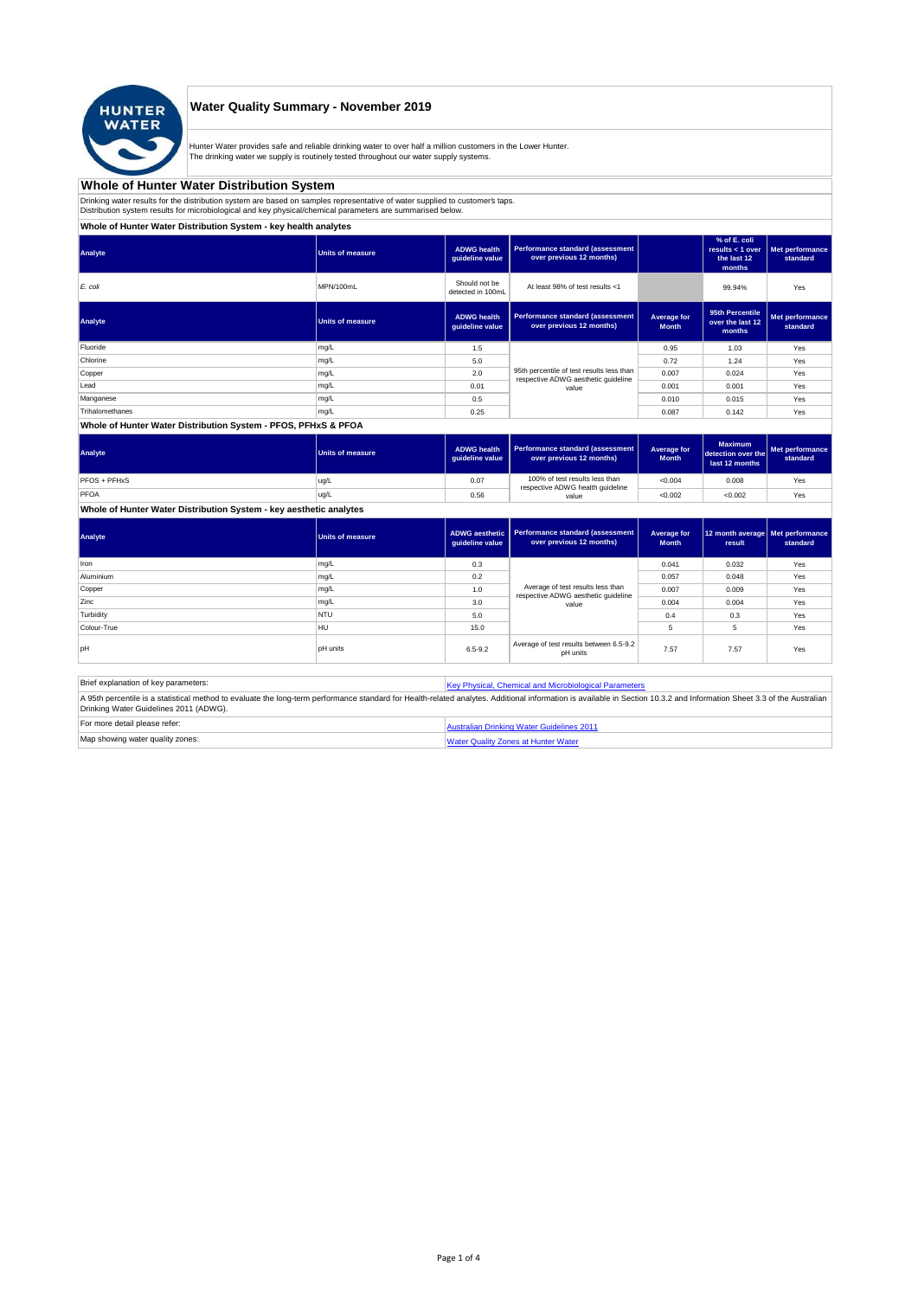

## **Water Quality Summary - November 2019**

Hunter Water provides safe and reliable drinking water to over half a million customers in the Lower Hunter.<br>The drinking water we supply is routinely tested throughout our water supply systems.

### **Whole of Hunter Water Distribution System**

Drinking water results for the distribution system are based on samples representative of water supplied to customer's taps.<br>Distribution system results for microbiological and key physical/chemical parameters are summaris

## **Whole of Hunter Water Distribution System - key health analytes**

| <b>Units of measure</b> | <b>ADWG</b> health<br>quideline value | Performance standard (assessment<br>over previous 12 months)        |                                                                                  | % of E. coli<br>results $<$ 1 over<br>the last 12<br>months | Met performance<br>standard |
|-------------------------|---------------------------------------|---------------------------------------------------------------------|----------------------------------------------------------------------------------|-------------------------------------------------------------|-----------------------------|
| MPN/100mL               | Should not be<br>detected in 100mL    | At least 98% of test results <1                                     |                                                                                  | 99.94%                                                      | Yes                         |
| <b>Units of measure</b> | <b>ADWG</b> health<br>guideline value | <b>Performance standard (assessment</b><br>over previous 12 months) | Average for<br><b>Month</b>                                                      | 95th Percentile<br>over the last 12<br>months               | Met performance<br>standard |
| mg/L                    | 1.5                                   |                                                                     | 0.95                                                                             | 1.03                                                        | Yes                         |
| mg/L                    | 5.0                                   |                                                                     | 0.72                                                                             | 1.24                                                        | Yes                         |
| mg/L                    | 2.0                                   |                                                                     | 0.007                                                                            | 0.024                                                       | Yes                         |
| mg/L                    | 0.01                                  | value                                                               | 0.001                                                                            | 0.001                                                       | Yes                         |
| mg/L                    | 0.5                                   |                                                                     | 0.010                                                                            | 0.015                                                       | Yes                         |
| mg/L                    | 0.25                                  |                                                                     | 0.087                                                                            | 0.142                                                       | Yes                         |
|                         |                                       |                                                                     | 95th percentile of test results less than<br>respective ADWG aesthetic quideline |                                                             |                             |

#### **Whole of Hunter Water Distribution System - PFOS, PFHxS & PFOA**

| Analyte      | <b>Units of measure</b> | <b>ADWG health</b><br>quideline value | Performance standard (assessment  <br>over previous 12 months)     | Average for<br><b>Month</b> | <b>Maximum</b><br>detection over the<br>last 12 months | Met performance<br>standard |
|--------------|-------------------------|---------------------------------------|--------------------------------------------------------------------|-----------------------------|--------------------------------------------------------|-----------------------------|
| PFOS + PFHxS | ug/L                    | 0.07                                  | 100% of test results less than<br>respective ADWG health guideline | < 0.004                     | 0.008                                                  | Yes                         |
| PFOA         | ug/L                    | 0.56                                  | value                                                              | < 0.002                     | < 0.002                                                | Yes                         |

**Whole of Hunter Water Distribution System - key aesthetic analytes**

| Analyte     | Units of measure | guideline value | ADWG aesthetic   Performance standard (assessment<br>over previous 12 months) | Average for<br><b>Month</b> | 12 month average   Met performance<br>result | standard |
|-------------|------------------|-----------------|-------------------------------------------------------------------------------|-----------------------------|----------------------------------------------|----------|
| Iron        | mg/L             | 0.3             |                                                                               | 0.041                       | 0.032                                        | Yes      |
| Aluminium   | mg/L             | 0.2             |                                                                               | 0.057                       | 0.048                                        | Yes      |
| Copper      | mg/L             | 1.0             | Average of test results less than<br>respective ADWG aesthetic quideline      | 0.007                       | 0.009                                        | Yes      |
| Zinc        | mg/L             | 3.0             | value                                                                         | 0.004                       | 0.004                                        | Yes      |
| Turbidity   | <b>NTU</b>       | 5.0             |                                                                               | 0.4                         | 0.3                                          | Yes      |
| Colour-True | <b>HU</b>        | 15.0            |                                                                               | 5                           |                                              | Yes      |
| loH         | <b>pH</b> units  | $6.5 - 9.2$     | Average of test results between 6.5-9.2<br>pH units                           | 7.57                        | 7.57                                         | Yes      |

| Brief explanation of key parameters:   | Key Physical, Chemical and Microbiological Parameters                                                                                                                                                                   |  |  |  |  |  |
|----------------------------------------|-------------------------------------------------------------------------------------------------------------------------------------------------------------------------------------------------------------------------|--|--|--|--|--|
| Drinking Water Guidelines 2011 (ADWG). | A 95th percentile is a statistical method to evaluate the long-term performance standard for Health-related analytes. Additional information is available in Section 10.3.2 and Information Sheet 3.3 of the Australian |  |  |  |  |  |
| For more detail please refer:          | Australian Drinking Water Guidelines 2011                                                                                                                                                                               |  |  |  |  |  |
| Map showing water quality zones:       | <b>Water Quality Zones at Hunter Water</b>                                                                                                                                                                              |  |  |  |  |  |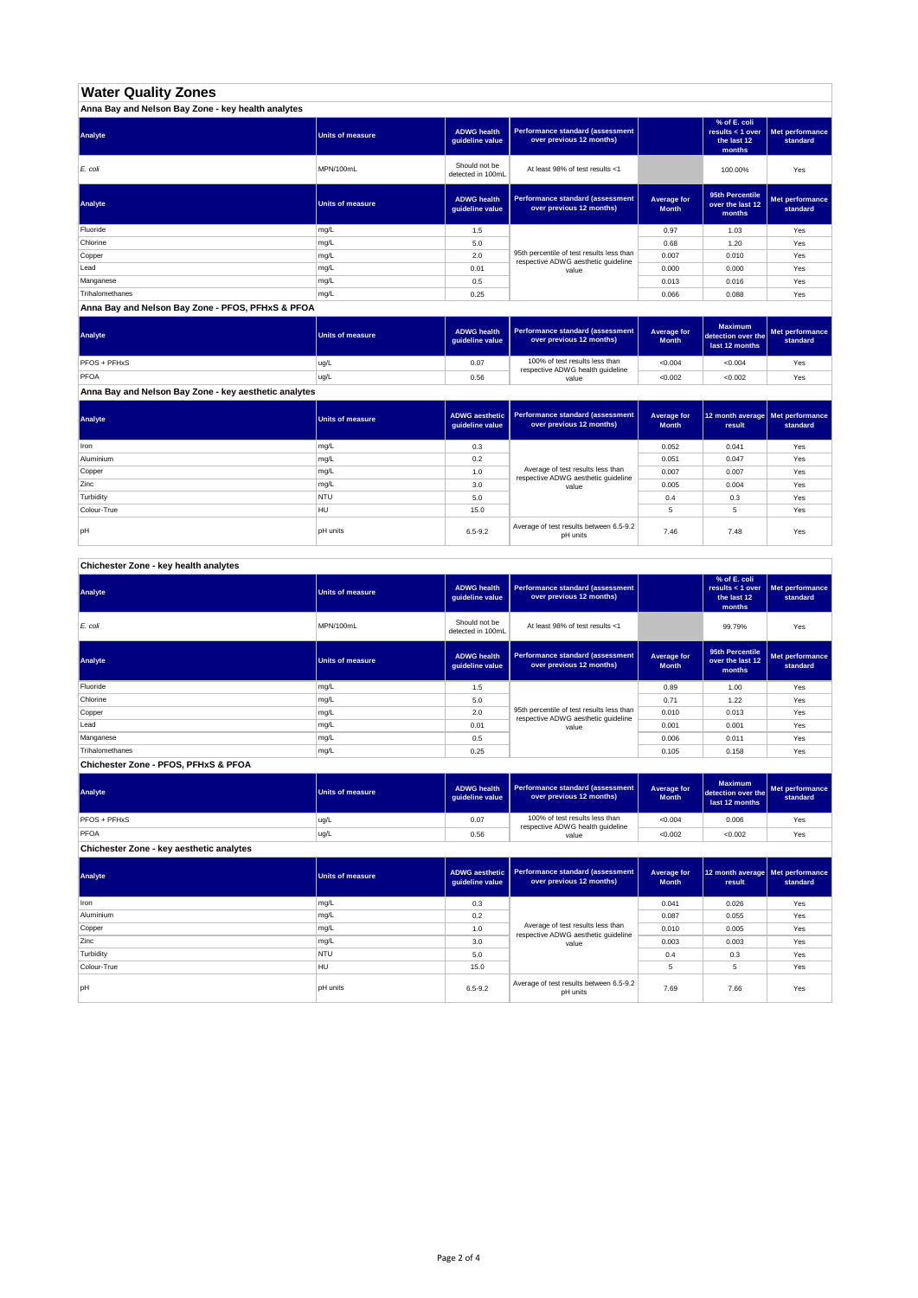# **Water Quality Zones**

| Anna Bay and Nelson Bay Zone - key health analytes |                  |                                       |                                                                                  |                             |                                                           |                             |  |  |
|----------------------------------------------------|------------------|---------------------------------------|----------------------------------------------------------------------------------|-----------------------------|-----------------------------------------------------------|-----------------------------|--|--|
| Analyte                                            | Units of measure | <b>ADWG health</b><br>quideline value | Performance standard (assessment<br>over previous 12 months)                     |                             | % of E. coli<br>results < 1 over<br>the last 12<br>months | Met performance<br>standard |  |  |
| E. coli                                            | MPN/100mL        | Should not be<br>detected in 100mL    | At least 98% of test results <1                                                  |                             | 100.00%                                                   | Yes                         |  |  |
| Analyte                                            | Units of measure | <b>ADWG health</b><br>guideline value | Performance standard (assessment<br>over previous 12 months)                     | Average for<br><b>Month</b> | 95th Percentile<br>over the last 12<br>months             | Met performance<br>standard |  |  |
| Fluoride                                           | mg/L             | 1.5                                   |                                                                                  | 0.97                        | 1.03                                                      | Yes                         |  |  |
| Chlorine                                           | mg/L             | 5.0                                   |                                                                                  | 0.68                        | 1.20                                                      | Yes                         |  |  |
| Copper                                             | mg/L             | 2.0                                   | 95th percentile of test results less than<br>respective ADWG aesthetic quideline | 0.007                       | 0.010                                                     | Yes                         |  |  |
| Lead                                               | mg/L             | 0.01                                  | value                                                                            | 0.000                       | 0.000                                                     | Yes                         |  |  |
| Manganese                                          | mg/L             | 0.5                                   |                                                                                  | 0.013                       | 0.016                                                     | Yes                         |  |  |
| Trihalomethanes                                    | mg/L             | 0.25                                  |                                                                                  | 0.066                       | 0.088                                                     | Yes                         |  |  |

#### **Anna Bay and Nelson Bay Zone - PFOS, PFHxS & PFOA**

| Analyte      | <b>Units of measure</b> | <b>ADWG health</b><br>quideline value | Performance standard (assessment<br>over previous 12 months)       | Average for<br><b>Month</b> | <b>Maximum</b><br>detection over the<br>last 12 months | Met performance<br>standard |
|--------------|-------------------------|---------------------------------------|--------------------------------------------------------------------|-----------------------------|--------------------------------------------------------|-----------------------------|
| PFOS + PFHxS | ug/L                    | 0.07                                  | 100% of test results less than<br>respective ADWG health guideline | < 0.004                     | < 0.004                                                | Yes                         |
| PFOA         | ug/L                    | 0.56                                  | value                                                              | < 0.002                     | < 0.002                                                | Yes                         |

**Anna Bay and Nelson Bay Zone - key aesthetic analytes**

| Analyte     | Units of measure | quideline value | ADWG aesthetic   Performance standard (assessment<br>over previous 12 months) | Average for<br><b>Month</b> | 12 month average Met performance<br>result | standard |
|-------------|------------------|-----------------|-------------------------------------------------------------------------------|-----------------------------|--------------------------------------------|----------|
| Iron        | mg/L             | 0.3             |                                                                               | 0.052                       | 0.041                                      | Yes      |
| Aluminium   | mg/L             | 0.2             |                                                                               | 0.051                       | 0.047                                      | Yes      |
| Copper      | mg/L             | 1.0             | Average of test results less than<br>respective ADWG aesthetic guideline      | 0.007                       | 0.007                                      | Yes      |
| Zinc        | mg/L             | 3.0             | value                                                                         | 0.005                       | 0.004                                      | Yes      |
| Turbidity   | <b>NTU</b>       | 5.0             |                                                                               | 0.4                         | 0.3                                        | Yes      |
| Colour-True | HU               | 15.0            |                                                                               | 5                           | 5                                          | Yes      |
| lpH         | <b>pH</b> units  | $6.5 - 9.2$     | Average of test results between 6.5-9.2<br>pH units                           | 7.46                        | 7.48                                       | Yes      |

## **Chichester Zone - key health analytes**

| Analyte                              | <b>Units of measure</b> | <b>ADWG health</b><br>guideline value | Performance standard (assessment<br>over previous 12 months)                     |                             | % of E. coli<br>results < 1 over<br>the last 12<br>months | Met performance<br>standard |
|--------------------------------------|-------------------------|---------------------------------------|----------------------------------------------------------------------------------|-----------------------------|-----------------------------------------------------------|-----------------------------|
| E. coli                              | MPN/100mL               | Should not be<br>detected in 100mL    | At least 98% of test results <1                                                  |                             | 99.79%                                                    | Yes                         |
| Analyte                              | <b>Units of measure</b> | <b>ADWG health</b><br>guideline value | Performance standard (assessment<br>over previous 12 months)                     | Average for<br><b>Month</b> | 95th Percentile<br>over the last 12<br>months             | Met performance<br>standard |
| Fluoride                             | mg/L                    | 1.5                                   |                                                                                  | 0.89                        | 1.00                                                      | Yes                         |
| Chlorine                             | mg/L                    | 5.0                                   |                                                                                  | 0.71                        | 1.22                                                      | Yes                         |
| Copper                               | mg/L                    | 2.0                                   | 95th percentile of test results less than<br>respective ADWG aesthetic quideline | 0.010                       | 0.013                                                     | Yes                         |
| Lead                                 | mg/L                    | 0.01                                  | value                                                                            | 0.001                       | 0.001                                                     | Yes                         |
| Manganese                            | mg/L                    | 0.5                                   |                                                                                  | 0.006                       | 0.011                                                     | Yes                         |
| Trihalomethanes                      | mg/L                    | 0.25                                  |                                                                                  | 0.105                       | 0.158                                                     | Yes                         |
| Chichester Zone - PFOS, PFHxS & PFOA |                         |                                       |                                                                                  |                             |                                                           |                             |

#### **ADWG health guideline value Average for Month Maxim detection over the last 12 months Met performance standard** 0.07 100% of test results less than  $\begin{array}{|c|c|c|c|c|c|c|c|c|c|c|c|}\n\hline\n0.006 & \text{respective ADWG health guideline} \\
\hline\n\end{array}$ 0.56 | value | <0.002 | <0.002 | Yes **Analyte Performance standard (assessment <b>Performance standard (assessment Performance standard (assessment Performance standard (assessment Performance standard (assessment Chichester Zone - key aesthetic analytes** PFOS + PFHxS ug/L PFOA ug/L value

**ADWG aesthetic guideline value Average for Month 12 month average result Met performance standard** 0.3 0.041 0.026 Yes 0.2 0.087 0.055 Yes 1.0 Netrage of test results less trial 1.0 0.010 0.005 Pes 3.0 | value | 0.003 | 0.003 Yes 5.0 0.4 0.3 Yes 15.0 | 30 | 5 | 5 | Yes pH units the state of test of test results between 6.5-9.2 Average of test results between 6.5-9.2 test 7.66 Yes<br>PH units Average of the pH units between 6.5-9.2 test 7.69 7.66 Yes **Analyte Performance standard (assessment <b>Performance standard (assessment Performance standard (assessment <b>Performance standard (assessment Performance standard (assessment** Iron mg/L **Turbidity** NTU Colour-True HU Average of test results less than respective ADWG aesthetic guideline value Aluminium mg/L Copper mg/L Zinc mg/L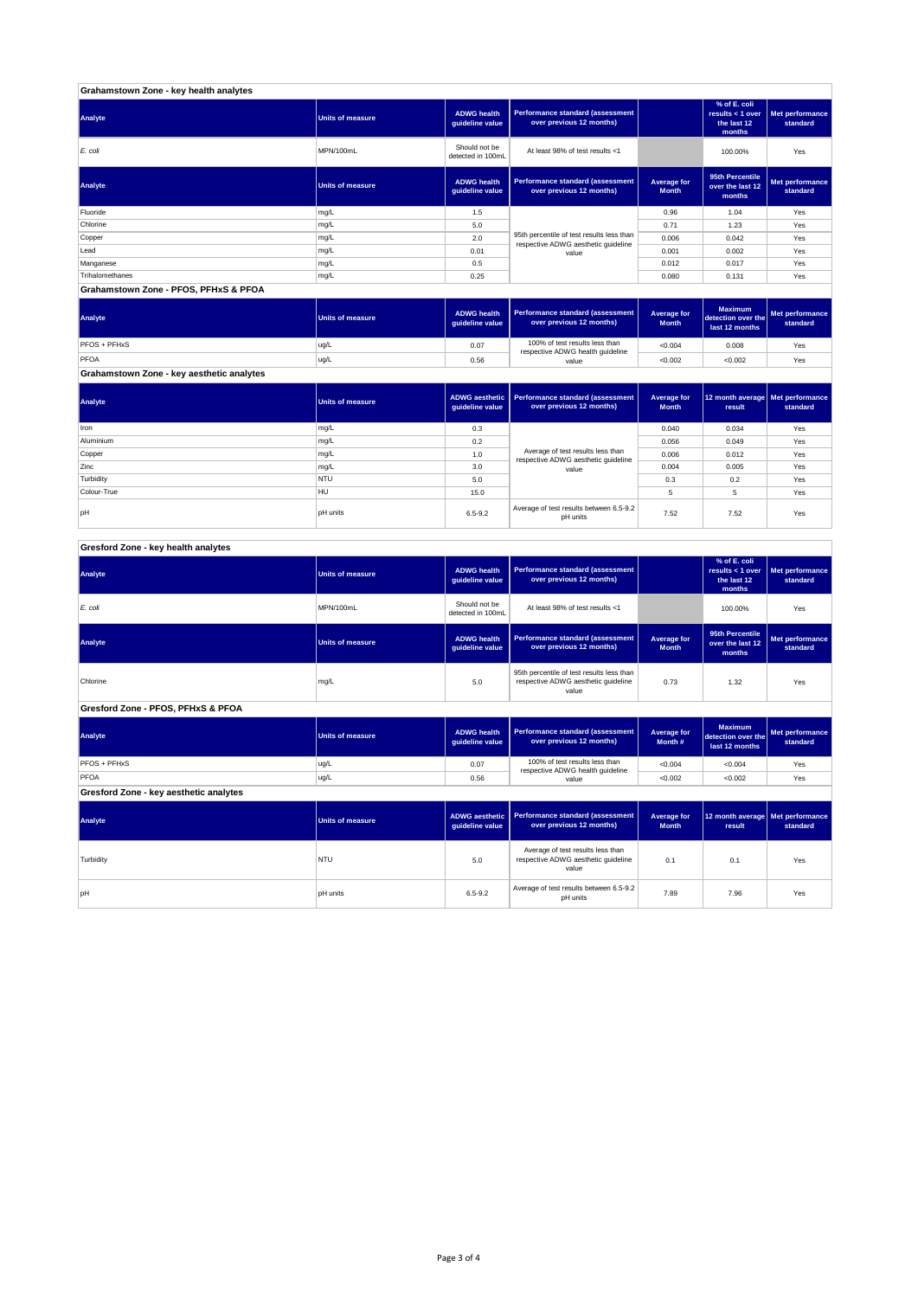| Grahamstown Zone - key health analytes |                         |                                       |                                                                                  |                             |                                                           |                             |  |  |
|----------------------------------------|-------------------------|---------------------------------------|----------------------------------------------------------------------------------|-----------------------------|-----------------------------------------------------------|-----------------------------|--|--|
| Analyte                                | <b>Units of measure</b> | <b>ADWG health</b><br>guideline value | Performance standard (assessment<br>over previous 12 months)                     |                             | % of E. coli<br>results < 1 over<br>the last 12<br>months | Met performance<br>standard |  |  |
| E. coli                                | MPN/100mL               | Should not be<br>detected in 100mL    | At least 98% of test results <1                                                  |                             | 100.00%                                                   | Yes                         |  |  |
| Analyte                                | <b>Units of measure</b> | <b>ADWG health</b><br>guideline value | Performance standard (assessment<br>over previous 12 months)                     | Average for<br><b>Month</b> | 95th Percentile<br>over the last 12<br>months             | Met performance<br>standard |  |  |
| Fluoride                               | mg/L                    | 1.5                                   |                                                                                  | 0.96                        | 1.04                                                      | Yes                         |  |  |
| Chlorine                               | mg/L                    | 5.0                                   |                                                                                  | 0.71                        | 1.23                                                      | Yes                         |  |  |
| Copper                                 | mg/L                    | 2.0                                   | 95th percentile of test results less than<br>respective ADWG aesthetic quideline | 0.006                       | 0.042                                                     | Yes                         |  |  |
| Lead                                   | mg/L                    | 0.01                                  | value                                                                            | 0.001                       | 0.002                                                     | Yes                         |  |  |
| Manganese                              | mg/L                    | 0.5                                   |                                                                                  | 0.012                       | 0.017                                                     | Yes                         |  |  |
| Trihalomethanes                        | mg/L                    | 0.25                                  |                                                                                  | 0.080                       | 0.131                                                     | Yes                         |  |  |
| Grahamstown Zone - PFOS, PFHxS & PFOA  |                         |                                       |                                                                                  |                             |                                                           |                             |  |  |

| Analyte                                   | Units of measure | <b>ADWG health</b><br>guideline value | Performance standard (assessment<br>over previous 12 months)       | Average for<br><b>Month</b> | <b>Maximum</b><br>detection over the<br>last 12 months | <b>I</b> Met performance<br>standard |
|-------------------------------------------|------------------|---------------------------------------|--------------------------------------------------------------------|-----------------------------|--------------------------------------------------------|--------------------------------------|
| PFOS + PFHxS                              | ug/L             | 0.07                                  | 100% of test results less than<br>respective ADWG health guideline | < 0.004                     | 0.008                                                  | Yes                                  |
| PFOA                                      | ug/L             | 0.56                                  | value                                                              | < 0.002                     | < 0.002                                                | Yes                                  |
| Grahamstown Zone - key aesthetic analytes |                  |                                       |                                                                    |                             |                                                        |                                      |

| Analyte     | Units of measure | guideline value | ADWG aesthetic   Performance standard (assessment<br>over previous 12 months) | Average for<br><b>Month</b> | 12 month average   Met performance<br>result | standard |
|-------------|------------------|-----------------|-------------------------------------------------------------------------------|-----------------------------|----------------------------------------------|----------|
| <b>Iron</b> | mg/L             | 0.3             |                                                                               | 0.040                       | 0.034                                        | Yes      |
| Aluminium   | mg/L             | 0.2             |                                                                               | 0.056                       | 0.049                                        | Yes      |
| Copper      | mg/L             | 1.0             | Average of test results less than<br>respective ADWG aesthetic quideline      | 0.006                       | 0.012                                        | Yes      |
| Zinc        | mg/L             | 3.0             | value                                                                         | 0.004                       | 0.005                                        | Yes      |
| Turbidity   | <b>NTU</b>       | 5.0             |                                                                               | 0.3                         | 0.2                                          | Yes      |
| Colour-True | HU               | 15.0            |                                                                               |                             | 5                                            | Yes      |
| lpH         | <b>pH</b> units  | $6.5 - 9.2$     | Average of test results between 6.5-9.2<br>pH units                           | 7.52                        | 7.52                                         | Yes      |

# **Gresford Zone - key health analytes**

| <b>Analyte</b>                         | <b>Units of measure</b> | <b>ADWG health</b><br>guideline value    | Performance standard (assessment<br>over previous 12 months)                              |                             | % of E. coli<br>results < 1 over<br>the last 12<br>months | Met performance<br>standard        |
|----------------------------------------|-------------------------|------------------------------------------|-------------------------------------------------------------------------------------------|-----------------------------|-----------------------------------------------------------|------------------------------------|
| E. coli                                | MPN/100mL               | Should not be<br>detected in 100mL       | At least 98% of test results <1                                                           |                             | 100.00%                                                   | Yes                                |
| Analyte                                | <b>Units of measure</b> | <b>ADWG health</b><br>guideline value    | <b>Performance standard (assessment</b><br>over previous 12 months)                       | Average for<br><b>Month</b> | 95th Percentile<br>over the last 12<br>months             | <b>Met performance</b><br>standard |
| Chlorine                               | mg/L                    | 5.0                                      | 95th percentile of test results less than<br>respective ADWG aesthetic guideline<br>value | 0.73                        | 1.32                                                      | Yes                                |
| Gresford Zone - PFOS, PFHxS & PFOA     |                         |                                          |                                                                                           |                             |                                                           |                                    |
| Analyte                                | <b>Units of measure</b> | <b>ADWG health</b><br>quideline value    | Performance standard (assessment<br>over previous 12 months)                              | Average for<br>Month #      | <b>Maximum</b><br>detection over the<br>last 12 months    | Met performance<br>standard        |
| PFOS + PFHxS                           | ug/L                    | 0.07                                     | 100% of test results less than<br>respective ADWG health guideline                        | < 0.004                     | < 0.004                                                   | Yes                                |
| PFOA                                   | ug/L                    | 0.56                                     | value                                                                                     | < 0.002                     | < 0.002                                                   | Yes                                |
| Gresford Zone - key aesthetic analytes |                         |                                          |                                                                                           |                             |                                                           |                                    |
| Analyte                                | <b>Units of measure</b> | <b>ADWG</b> aesthetic<br>guideline value | <b>Performance standard (assessment</b><br>over previous 12 months)                       | Average for<br><b>Month</b> | 12 month average   Met performance<br>result              | standard                           |
| _ _ _ _                                |                         |                                          | Average of test results less than                                                         |                             |                                                           |                                    |

| Analyte   | Units of measure | quideline value | ADWG aesthetic   Performance standard (assessment  <br>over previous 12 months)   | <b>Average for</b><br><b>Month</b> | 12 month average   Met performa<br>result | standard |
|-----------|------------------|-----------------|-----------------------------------------------------------------------------------|------------------------------------|-------------------------------------------|----------|
| Turbidity | <b>NTU</b>       | 5.0             | Average of test results less than<br>respective ADWG aesthetic quideline<br>value | 0.1                                | 0.1                                       | Yes      |
| pН        | <b>pH</b> units  | $6.5 - 9.2$     | Average of test results between 6.5-9.2<br>pH units                               | 7.89                               | 7.96                                      | Yes      |